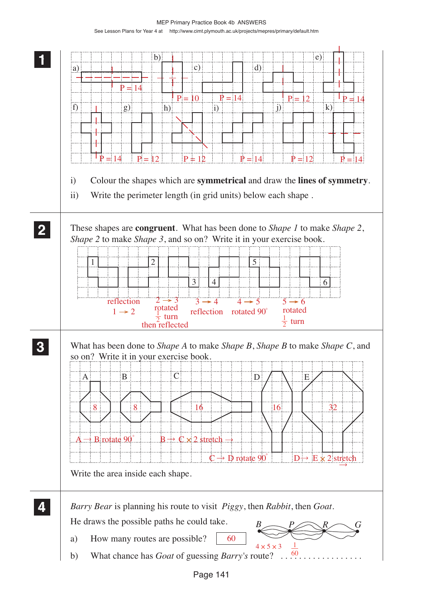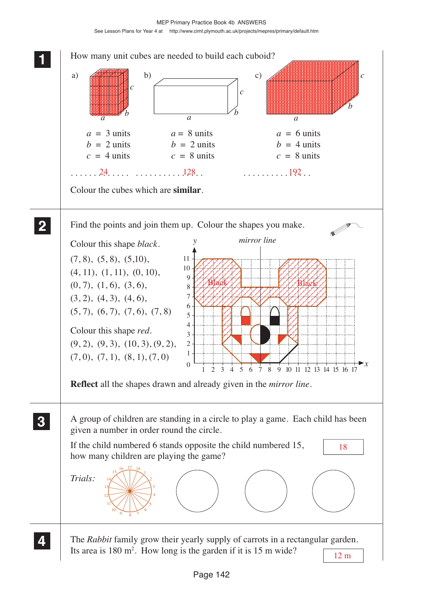MEP Primary Practice Book 4b ANSWERS See Lesson Plans for Year 4 at http://www.cimt.plymouth.ac.uk/projects/mepres/primary/default.htm

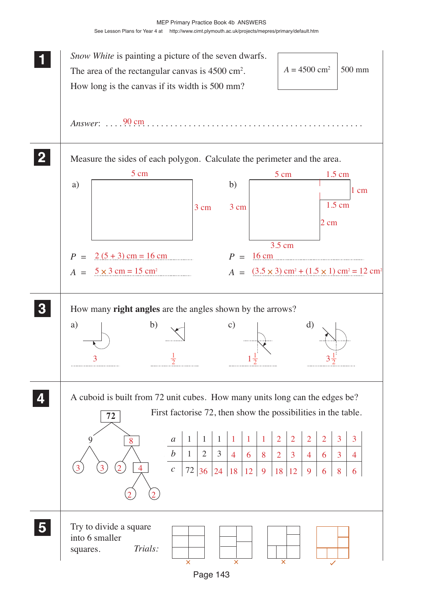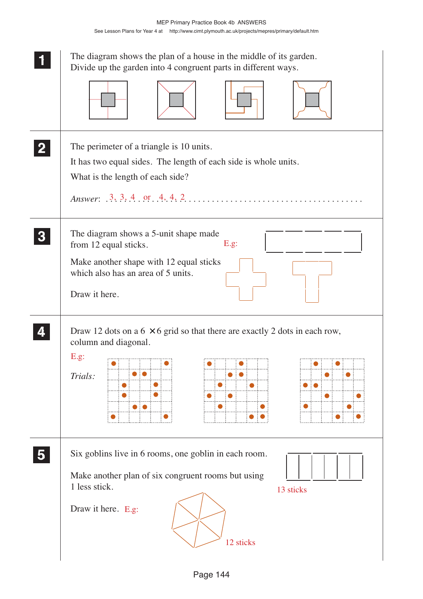|   | The diagram shows the plan of a house in the middle of its garden.<br>Divide up the garden into 4 congruent parts in different ways.                                                                                                                     |
|---|----------------------------------------------------------------------------------------------------------------------------------------------------------------------------------------------------------------------------------------------------------|
|   | The perimeter of a triangle is 10 units.<br>It has two equal sides. The length of each side is whole units.<br>What is the length of each side?<br>Answer: $3, 3, 4, or 4, 4, 2, \ldots, \ldots, \ldots, \ldots, \ldots, \ldots, \ldots, \ldots, \ldots$ |
|   | The diagram shows a 5-unit shape made<br>E.g.<br>from 12 equal sticks.<br>Make another shape with 12 equal sticks<br>which also has an area of 5 units.<br>Draw it here.                                                                                 |
|   | Draw 12 dots on a $6 \times 6$ grid so that there are exactly 2 dots in each row,<br>column and diagonal.<br>E.g.<br>ومستمر ومستمر ومستمر ومستمر ومستمر ومستمر<br>Trials:                                                                                |
| 5 | Six goblins live in 6 rooms, one goblin in each room.<br>Make another plan of six congruent rooms but using<br>1 less stick.<br>13 sticks<br>Draw it here. E.g:<br>12 sticks                                                                             |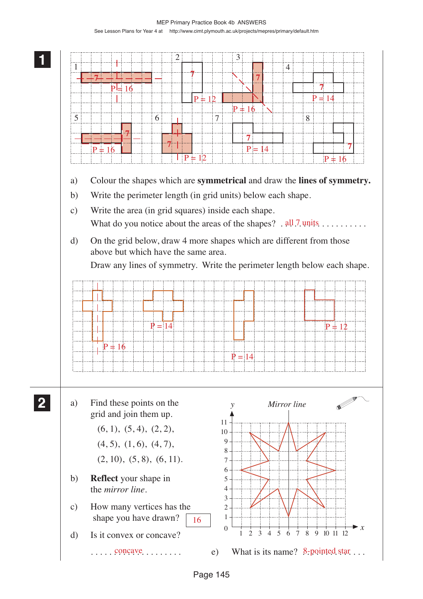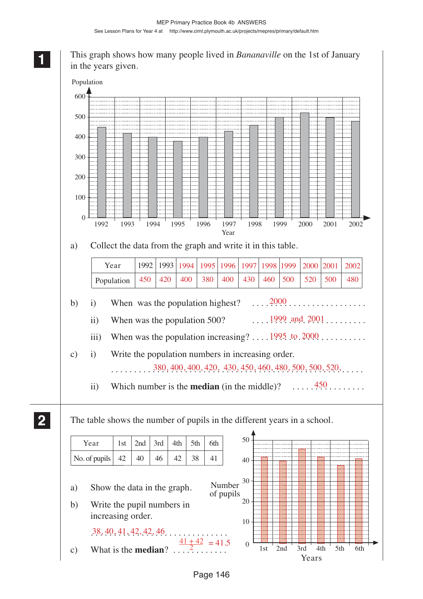# This graph shows how many people lived in *Bananaville* on the 1st of January in the years given.



**2 22 22**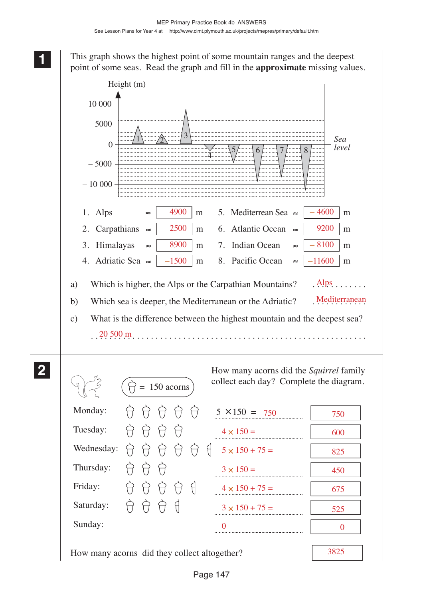**1 11 11**

> **2 22 22**

This graph shows the highest point of some mountain ranges and the deepest point of some seas. Read the graph and fill in the **approximate** missing values.

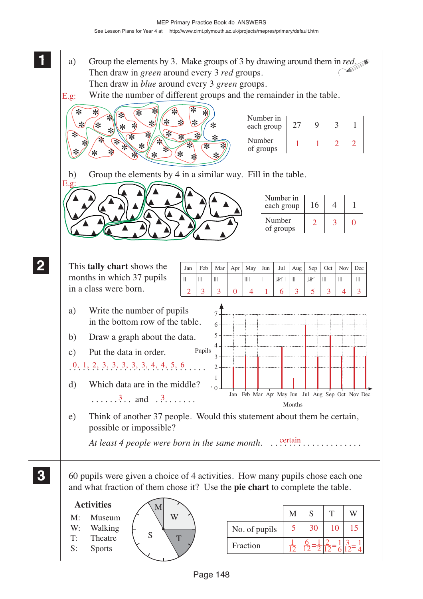- a) Group the elements by 3. Make groups of 3 by drawing around them in *red*. Then draw in *green* around every 3 *red* groups. Then draw in *blue* around every 3 *green* groups.
- Write the number of different groups and the remainder in the table. E.g:

**1 11 11**

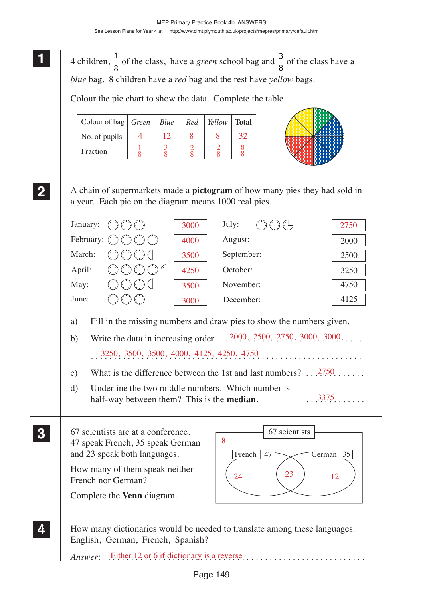**1** 4 children,  $\frac{1}{2}$ 8 of the class, have a *green* school bag and  $\frac{3}{8}$ 8 of the class have a *blue* bag. 8 children have a *red* bag and the rest have *yellow* bags.

Colour the pie chart to show the data. Complete the table.

| Colour of bag | <i>Green</i> | Blue | Red | Yellow | <b>Total</b> |
|---------------|--------------|------|-----|--------|--------------|
| No. of pupils |              | 12   |     |        |              |
| Fraction      |              |      |     |        |              |

**2 22 22**

> **3 33 33**

> **4 44 44**

**1 11**

A chain of supermarkets made a **pictogram** of how many pies they had sold in a year. Each pie on the diagram means 1000 real pies.

|        | January: $\{\ \}$ $\{\ \}$ $\{\ \}$        | 3000 | $\xi$ ) $\xi$ ) $\xi$<br>July: | 2750 |
|--------|--------------------------------------------|------|--------------------------------|------|
|        | February: $\bigcirc$ $\bigcirc$ $\bigcirc$ | 4000 | August:                        | 2000 |
| March: | €CECEC                                     | 3500 | September:                     | 2500 |
| April: | 유유유유                                       | 4250 | October:                       | 3250 |
| May:   | ⇔⇔⊖∈                                       | 3500 | November:                      | 4750 |
| June:  |                                            | 3000 | December:                      | 4125 |
|        |                                            |      |                                |      |

a) Fill in the missing numbers and draw pies to show the numbers given.

- b) Write the data in increasing order.  $\therefore$  2000, 2500, 2750, 3000, 3000,  $\therefore$ ... . . . . . . . . . . . . . . . . . . . . . . . . . . . . . . . . . . . . . . . . . . . . . . . . . . . . . . . . . . . 3250, 3500, 3500, 4000, 4125, 4250, 4750
- c) What is the difference between the 1st and last numbers?  $\ldots$  . . . . . . . . .
- d) Underline the two middle numbers. Which number is half-way between them? This is the **median**. 3375
- 67 scientists are at a conference. 47 speak French, 35 speak German and 23 speak both languages.

How many of them speak neither French nor German? Complete the **Venn** diagram.



How many dictionaries would be needed to translate among these languages: English, German, French, Spanish?

*Answer*: . . . . . . . . . . . . . . . . . . . . . . . . . . . . . . . . . . . . . . . . . . . . . . . . . . . . . . . . Either 12 or 6 if dictionary is a reverse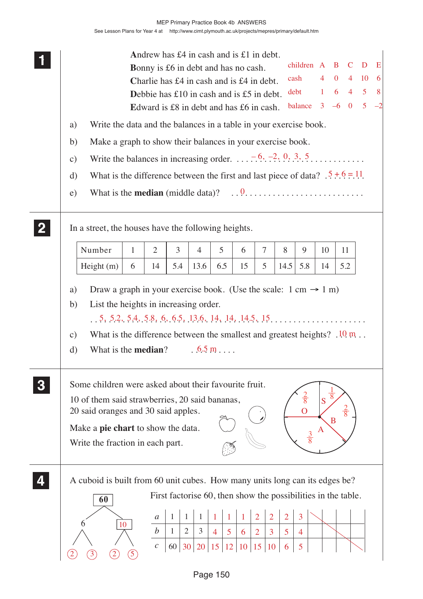|                                                                                                                                                                              |              | Andrew has $\pounds 4$ in cash and is $\pounds 1$ in debt. |                                |                                                               |                                  |    |                                  |                |                                   |                |   |                |                    |      |
|------------------------------------------------------------------------------------------------------------------------------------------------------------------------------|--------------|------------------------------------------------------------|--------------------------------|---------------------------------------------------------------|----------------------------------|----|----------------------------------|----------------|-----------------------------------|----------------|---|----------------|--------------------|------|
|                                                                                                                                                                              |              | <b>Bonny</b> is £6 in debt and has no cash.                |                                |                                                               |                                  |    |                                  |                | children A B C                    |                |   |                | D                  | E    |
|                                                                                                                                                                              |              | Charlie has £4 in cash and is £4 in debt.                  |                                |                                                               |                                  |    |                                  |                | cash                              | $\overline{4}$ |   | $0 \t 4 \t 10$ |                    | $-6$ |
|                                                                                                                                                                              |              | Debbie has $£10$ in cash and is £5 in debt.                |                                |                                                               |                                  |    |                                  |                | debt                              | 1              |   |                | $6 \t 4 \t 5 \t 8$ |      |
|                                                                                                                                                                              |              | Edward is £8 in debt and has £6 in cash.                   |                                |                                                               |                                  |    |                                  |                | balance $3 \t -6 \t 0 \t 5 \t -2$ |                |   |                |                    |      |
| Write the data and the balances in a table in your exercise book.<br>a)                                                                                                      |              |                                                            |                                |                                                               |                                  |    |                                  |                |                                   |                |   |                |                    |      |
| Make a graph to show their balances in your exercise book.<br>b)                                                                                                             |              |                                                            |                                |                                                               |                                  |    |                                  |                |                                   |                |   |                |                    |      |
| Write the balances in increasing order. $\ldots$ $\overline{.6}$ , $\overline{.2}$ , $\overline{0}$ , $\overline{.3}$ , $\overline{.5}$ , $\ldots$ $\ldots$<br>$\mathbf{c})$ |              |                                                            |                                |                                                               |                                  |    |                                  |                |                                   |                |   |                |                    |      |
| What is the difference between the first and last piece of data? $.5 \div 6 = 11$ .<br>d)                                                                                    |              |                                                            |                                |                                                               |                                  |    |                                  |                |                                   |                |   |                |                    |      |
| $\epsilon$ )                                                                                                                                                                 |              |                                                            |                                |                                                               |                                  |    |                                  |                |                                   |                |   |                |                    |      |
| In a street, the houses have the following heights.                                                                                                                          |              |                                                            |                                |                                                               |                                  |    |                                  |                |                                   |                |   |                |                    |      |
| Number                                                                                                                                                                       | $\mathbf{1}$ | 2                                                          | 3                              | 4                                                             | 5                                | 6  | $\tau$                           | 8              | 9                                 | 10             |   | 11             |                    |      |
| Height(m)                                                                                                                                                                    | 6            | 14                                                         | 5.4                            | 13.6                                                          | 6.5                              | 15 | 5                                | 14.5           | 5.8                               | 14             |   | 5.2            |                    |      |
| Draw a graph in your exercise book. (Use the scale: $1 \text{ cm} \rightarrow 1 \text{ m}$ )<br>a)                                                                           |              |                                                            |                                |                                                               |                                  |    |                                  |                |                                   |                |   |                |                    |      |
| List the heights in increasing order.<br>b)                                                                                                                                  |              |                                                            |                                |                                                               |                                  |    |                                  |                |                                   |                |   |                |                    |      |
| $\ldots$ 5, 5, 2, 5, 4, 5, 8, 6, 6, 5, 13, 6, 14, 14, 14, 14, 5, 15,                                                                                                         |              |                                                            |                                |                                                               |                                  |    |                                  |                |                                   |                |   |                |                    |      |
| What is the difference between the smallest and greatest heights? $.10 \text{ m}$<br>$\mathcal{C}$ )                                                                         |              |                                                            |                                |                                                               |                                  |    |                                  |                |                                   |                |   |                |                    |      |
| What is the <b>median</b> ?<br>d)                                                                                                                                            |              |                                                            |                                |                                                               | $.65 \,\mathrm{m}$               |    |                                  |                |                                   |                |   |                |                    |      |
| Some children were asked about their favourite fruit.                                                                                                                        |              |                                                            |                                |                                                               |                                  |    |                                  |                |                                   |                |   |                |                    |      |
| 10 of them said strawberries, 20 said bananas,                                                                                                                               |              |                                                            |                                |                                                               |                                  |    |                                  |                | $\frac{2}{8}$                     | S              | 8 |                |                    |      |
| 20 said oranges and 30 said apples.                                                                                                                                          |              |                                                            |                                |                                                               |                                  |    |                                  |                |                                   |                |   |                |                    |      |
| Make a <b>pie chart</b> to show the data.                                                                                                                                    |              |                                                            |                                |                                                               |                                  |    |                                  |                |                                   | $\mathbf{A}$   | B |                |                    |      |
| Write the fraction in each part.                                                                                                                                             |              |                                                            |                                |                                                               |                                  |    |                                  |                | $\frac{3}{8}$                     |                |   |                |                    |      |
|                                                                                                                                                                              |              |                                                            |                                |                                                               |                                  |    |                                  |                |                                   |                |   |                |                    |      |
| A cuboid is built from 60 unit cubes. How many units long can its edges be?                                                                                                  |              |                                                            |                                |                                                               |                                  |    |                                  |                |                                   |                |   |                |                    |      |
| 60                                                                                                                                                                           |              |                                                            |                                | First factorise 60, then show the possibilities in the table. |                                  |    |                                  |                |                                   |                |   |                |                    |      |
|                                                                                                                                                                              |              | a                                                          | 1                              |                                                               |                                  |    | $\overline{2}$<br>$\overline{2}$ | $\overline{2}$ | 3                                 |                |   |                |                    |      |
|                                                                                                                                                                              | 10           | $\boldsymbol{b}$                                           | $\overline{2}$<br>$\mathbf{1}$ | $\mathfrak{Z}$                                                | 5 <sup>5</sup><br>$\overline{4}$ | 6  | $\overline{2}$<br>3              | 5              | $\overline{4}$                    |                |   |                |                    |      |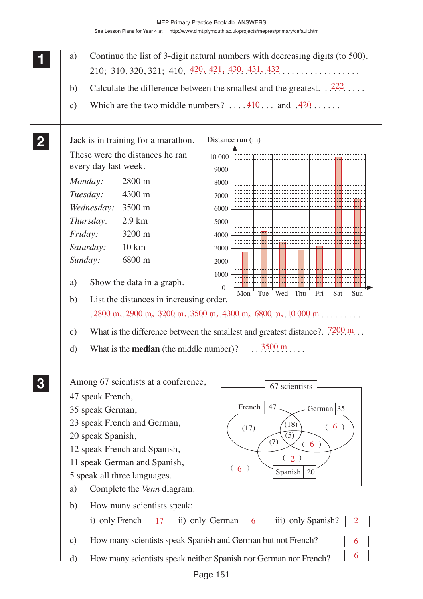|              | Continue the list of 3-digit natural numbers with decreasing digits (to 500).<br>a)                   |
|--------------|-------------------------------------------------------------------------------------------------------|
|              | 210; 310, 320, 321; 410, $\frac{420}{121}$ , $\frac{430}{131}$ , $\frac{431}{132}$ , $\ldots$         |
|              | Calculate the difference between the smallest and the greatest. $.222$<br>b)                          |
|              | Which are the two middle numbers? $\dots$ 410 and 420<br>$\mathbf{c})$                                |
|              |                                                                                                       |
|              |                                                                                                       |
| $\mathbf{2}$ | Distance run (m)<br>Jack is in training for a marathon.                                               |
|              | These were the distances he ran<br>10 000                                                             |
|              | every day last week.<br>9000                                                                          |
|              | Monday:<br>2800 m<br>8000                                                                             |
|              | Tuesday:<br>4300 m<br>7000                                                                            |
|              | Wednesday: 3500 m<br>6000                                                                             |
|              | Thursday:<br>$2.9 \text{ km}$<br>5000                                                                 |
|              | Friday:<br>3200 m<br>4000                                                                             |
|              | $10 \text{ km}$<br>Saturday:<br>3000                                                                  |
|              | Sunday:<br>6800 m<br>2000                                                                             |
|              | 1000                                                                                                  |
|              | Show the data in a graph.<br>a)<br>$\Omega$<br>Tue<br>Wed Thu<br>Fri<br>Sat<br>Sun<br>Mon             |
|              | List the distances in increasing order.<br>b)                                                         |
|              | $2800$ m, $2900$ m, $3200$ m, $3500$ m, $4300$ m, $6800$ m, $10000$ m                                 |
|              | What is the difference between the smallest and greatest distance?. $7200 \text{ m}$<br>$\mathbf{c})$ |
|              |                                                                                                       |
|              | $3500 \text{ m}$<br>What is the <b>median</b> (the middle number)?<br>d)                              |
|              |                                                                                                       |
|              | Among 67 scientists at a conference,<br>67 scientists                                                 |
|              | 47 speak French,                                                                                      |
|              | French<br>47<br>German $ 35 $<br>35 speak German,                                                     |
|              | 23 speak French and German,<br>(18)<br>(6)<br>(17)                                                    |
|              | 20 speak Spanish,<br>(5)                                                                              |
|              | (7)<br>(6)<br>12 speak French and Spanish,                                                            |
|              | (2)<br>11 speak German and Spanish,                                                                   |
|              | (6)<br>Spanish<br>20<br>5 speak all three languages.                                                  |
|              | Complete the Venn diagram.<br>a)                                                                      |
|              | b)<br>How many scientists speak:                                                                      |
|              | i) only French<br>ii) only German<br>17<br>6 <sup>1</sup><br>iii) only Spanish?<br>2                  |
|              |                                                                                                       |
|              | How many scientists speak Spanish and German but not French?<br>$\mathbf{c})$<br>6                    |
|              | 6<br>How many scientists speak neither Spanish nor German nor French?<br>$\mathbf{d}$                 |
|              |                                                                                                       |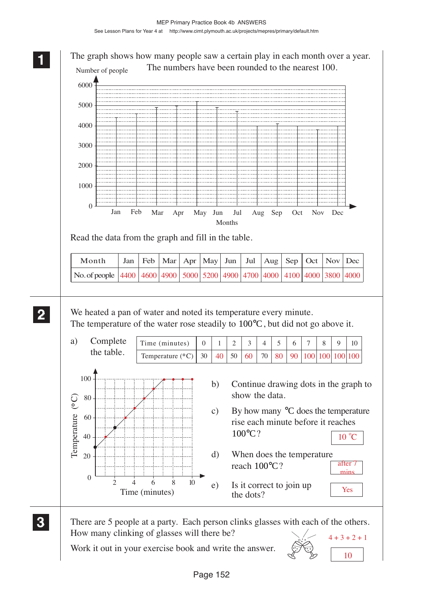**1 11** The graph shows how many people saw a certain play in each month over a year. **11** The numbers have been rounded to the nearest 100. Number of people 6000 5000 4000 3000 2000 1000  $\Omega$ Jan Feb Mar Apr May Jun Jul Aug Sep Oct Nov Dec Months Read the data from the graph and fill in the table. Month Jan | Feb | Mar | Apr | May | Jun | Jul | Aug | Sep | Oct | Nov | Dec No. of people 4400 4600 4900 5000 5200 4900 4700 4000 4100 4000 3800 4000 **2 22** We heated a pan of water and noted its temperature every minute. **22** The temperature of the water rose steadily to  $100^{\circ}$ C, but did not go above it. a) Complete Time (minutes) 10 0 1 2 3 4 5 6 7 8 9 the table. 30 Temperature (° C) | 30 | 40 | 50 | 60 | 70  $80 \mid 90 \mid 100 \mid 100 \mid 100 \mid 100$ 100 b) Continue drawing dots in the graph to show the data. Temperature (°C) Temperature (°C) 80 c) By how many °C does the temperature 60 rise each minute before it reaches 100°C?  $10^{\circ}$ C 40 d) When does the temperature 20 reach 100°C? after mins  $0 \t 2 \t 4 \t 6 \t 8 \t 10$ e) Is it correct to join up Yes Time (minutes) the dots? **3 33** There are 5 people at a party. Each person clinks glasses with each of the others. **33** How many clinking of glasses will there be?  $4 + 3 + 2 + 1$ 

Work it out in your exercise book and write the answer.



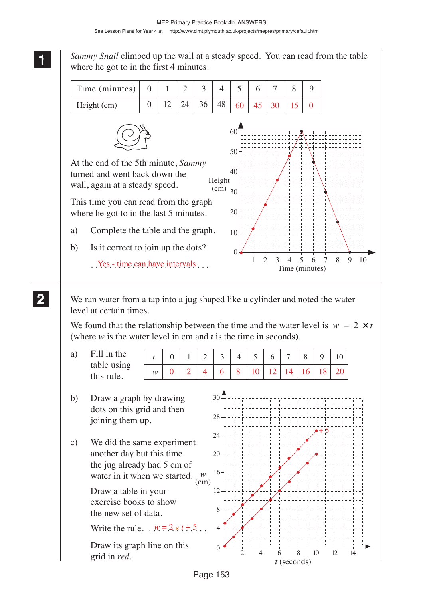*Sammy Snail* climbed up the wall at a steady speed. You can read from the table where he got to in the first 4 minutes.



We ran water from a tap into a jug shaped like a cylinder and noted the water level at certain times.

We found that the relationship between the time and the water level is  $w = 2 \times t$ (where *w* is the water level in cm and *t* is the time in seconds).

a) Fill in the table using this rule.

0 | 1 | 2 | 3 | 4 | 5 | 6 | 7 | 8 | 9 | 10 0 | 2 | 4 | 6 | 8 | 10 | 12 | 14 | 16 | 18 | 20

b) Draw a graph by drawing dots on this grid and then joining them up.

*t*

*w*

c) We did the same experiment another day but this time the jug already had 5 cm of water in it when we started. *w*

> Draw a table in your exercise books to show the new set of data.

Write the rule.  $w = 2 \times t + 5$ .

Draw its graph line on this grid in *red*.



**2 22 22**

**1 11 11**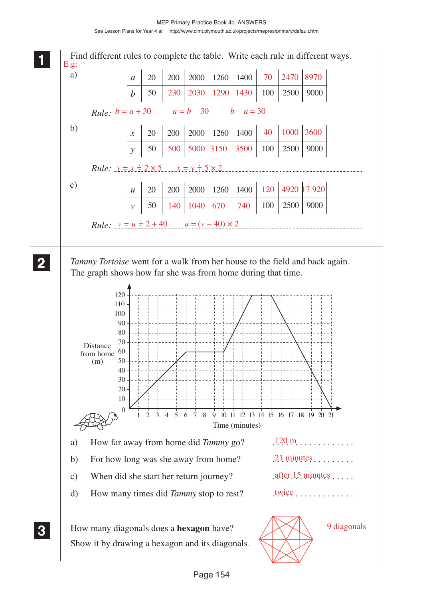#### MEP Primary Practice Book 4b ANSWERS See Lesson Plans for Year 4 at http://www.cimt.plymouth.ac.uk/projects/mepres/primary/default.htm

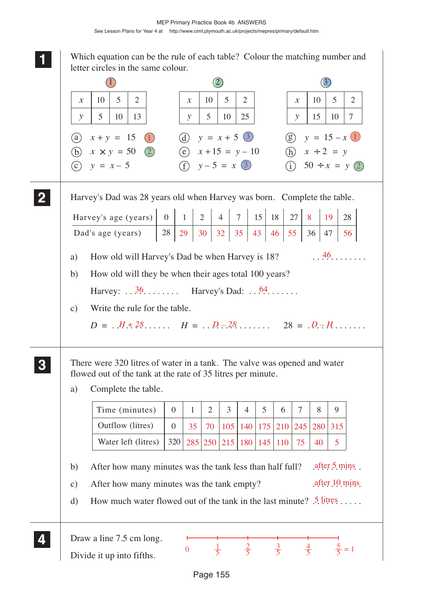**1 11 11** Which equation can be the rule of each table? Colour the matching number and letter circles in the same colour.

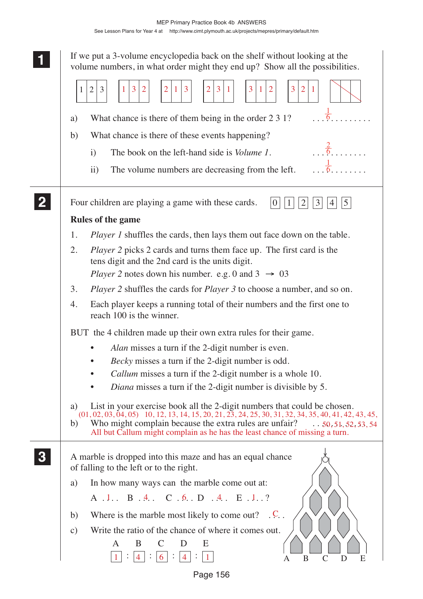|                                | MEP Primary Practice Book 4b ANSWERS                               |
|--------------------------------|--------------------------------------------------------------------|
| See Lesson Plans for Year 4 at | http://www.cimt.plymouth.ac.uk/projects/mepres/primary/default.htm |

|                  | If we put a 3-volume encyclopedia back on the shelf without looking at the<br>volume numbers, in what order might they end up? Show all the possibilities.                               |
|------------------|------------------------------------------------------------------------------------------------------------------------------------------------------------------------------------------|
|                  | $\overline{2}$<br>3<br>$\overline{2}$<br>3<br>3<br>$\overline{2}$<br>3<br>$\overline{2}$<br>3<br>$\mathbf{1}$<br>3<br>$\mathbf{1}$<br>1<br>п.                                            |
|                  | $\frac{1}{6}$<br>What chance is there of them being in the order 2 3 1?<br>a)                                                                                                            |
|                  | What chance is there of these events happening?<br>b)                                                                                                                                    |
|                  | $\frac{2}{6}$<br>The book on the left-hand side is <i>Volume 1</i> .<br>$\mathbf{i}$                                                                                                     |
|                  | $\frac{1}{6}$                                                                                                                                                                            |
|                  | The volume numbers are decreasing from the left.<br>$\rm ii)$                                                                                                                            |
|                  | Four children are playing a game with these cards.<br>$5\overline{)}$<br>3<br>$\theta$<br>4                                                                                              |
|                  | Rules of the game                                                                                                                                                                        |
|                  | <i>Player 1</i> shuffles the cards, then lays them out face down on the table.<br>1.                                                                                                     |
|                  | <i>Player</i> 2 picks 2 cards and turns them face up. The first card is the<br>2.                                                                                                        |
|                  | tens digit and the 2nd card is the units digit.                                                                                                                                          |
|                  | <i>Player</i> 2 notes down his number. e.g. 0 and $3 \rightarrow 03$                                                                                                                     |
|                  | <i>Player 2</i> shuffles the cards for <i>Player 3</i> to choose a number, and so on.<br>3.                                                                                              |
|                  | Each player keeps a running total of their numbers and the first one to<br>4.<br>reach 100 is the winner.                                                                                |
|                  | BUT the 4 children made up their own extra rules for their game.                                                                                                                         |
|                  | Alan misses a turn if the 2-digit number is even.                                                                                                                                        |
|                  | Becky misses a turn if the 2-digit number is odd.                                                                                                                                        |
|                  | <i>Callum</i> misses a turn if the 2-digit number is a whole 10.                                                                                                                         |
|                  | Diana misses a turn if the 2-digit number is divisible by 5.                                                                                                                             |
|                  | List in your exercise book all the 2-digit numbers that could be chosen.<br>a)<br>$(01, 02, 03, 04, 05)$ 10, 12, 13, 14, 15, 20, 21, 23, 24, 25, 30, 31, 32, 34, 35, 40, 41, 42, 43, 45, |
|                  | Who might complain because the extra rules are unfair? $\ldots$ 50, 51, 52, 53, 54<br>b)<br>All but Callum might complain as he has the least chance of missing a turn.                  |
| $\boldsymbol{3}$ | A marble is dropped into this maze and has an equal chance<br>of falling to the left or to the right.                                                                                    |
|                  | In how many ways can the marble come out at:<br>a)                                                                                                                                       |
|                  | A .1. B .4. C .6. D .4. E .1. ?                                                                                                                                                          |
|                  | Where is the marble most likely to come out? $\therefore$ C.<br>b)                                                                                                                       |
|                  | Write the ratio of the chance of where it comes out.<br>$\mathbf{c})$                                                                                                                    |
|                  | B<br>E<br>A                                                                                                                                                                              |
|                  | B<br>$\mathsf{C}$<br>D<br>E<br>A                                                                                                                                                         |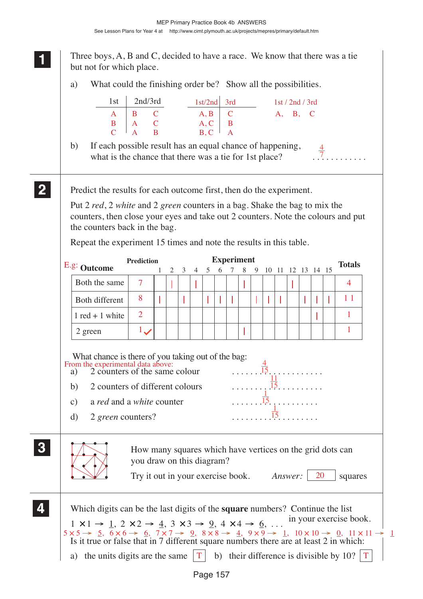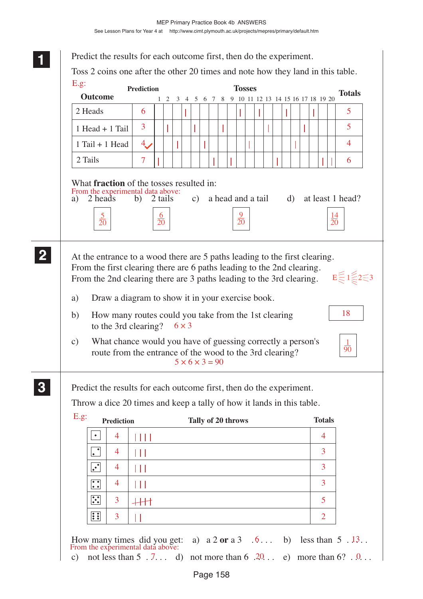| E.g.                                                                                                                                                                                                                                                                                                                        | <b>Prediction</b> |     |              |                                                |  | <b>Tosses</b> |  |  |  |               |                                            |
|-----------------------------------------------------------------------------------------------------------------------------------------------------------------------------------------------------------------------------------------------------------------------------------------------------------------------------|-------------------|-----|--------------|------------------------------------------------|--|---------------|--|--|--|---------------|--------------------------------------------|
| <b>Outcome</b>                                                                                                                                                                                                                                                                                                              |                   | 1 2 |              | 3 4 5 6 7 8 9 10 11 12 13 14 15 16 17 18 19 20 |  |               |  |  |  |               | <b>Totals</b>                              |
| 2 Heads                                                                                                                                                                                                                                                                                                                     | 6                 |     |              |                                                |  |               |  |  |  |               | 5                                          |
| $1$ Head + $1$ Tail                                                                                                                                                                                                                                                                                                         | 3                 |     |              |                                                |  |               |  |  |  |               | 5                                          |
| $1$ Tail + 1 Head                                                                                                                                                                                                                                                                                                           | $4_{\cdot}$       |     |              |                                                |  |               |  |  |  |               | 4                                          |
| 2 Tails                                                                                                                                                                                                                                                                                                                     | 7                 |     |              |                                                |  |               |  |  |  |               | 6                                          |
| At the entrance to a wood there are 5 paths leading to the first clearing.                                                                                                                                                                                                                                                  |                   |     |              |                                                |  |               |  |  |  |               |                                            |
| Draw a diagram to show it in your exercise book.<br>How many routes could you take from the 1st clearing<br>to the 3rd clearing?<br>What chance would you have of guessing correctly a person's<br>route from the entrance of the wood to the 3rd clearing?                                                                 |                   |     | $6 \times 3$ | $5 \times 6 \times 3 = 90$                     |  |               |  |  |  |               | 18                                         |
| From the first clearing there are 6 paths leading to the 2nd clearing.<br>From the 2nd clearing there are 3 paths leading to the 3rd clearing.<br>a)<br>b)<br>$\mathbf{c})$<br>Predict the results for each outcome first, then do the experiment.<br>Throw a dice 20 times and keep a tally of how it lands in this table. |                   |     |              |                                                |  |               |  |  |  |               |                                            |
| <b>Prediction</b>                                                                                                                                                                                                                                                                                                           |                   |     |              | Tally of 20 throws                             |  |               |  |  |  | <b>Totals</b> |                                            |
| E.g.<br>$\bullet$<br>4                                                                                                                                                                                                                                                                                                      | $\Box$            |     |              |                                                |  |               |  |  |  | 4             |                                            |
| 4<br>$\bullet$                                                                                                                                                                                                                                                                                                              | Ш                 |     |              |                                                |  |               |  |  |  | 3             |                                            |
| $\ddot{\cdot}$<br>4                                                                                                                                                                                                                                                                                                         | Ш                 |     |              |                                                |  |               |  |  |  | 3             | $E \leq 1 \leq 2 \leq 3$<br>$\frac{1}{90}$ |
| $\ddot{\bullet}$<br>4<br>$\ddot{\cdot}$<br>3                                                                                                                                                                                                                                                                                | Ш<br>$+$          |     |              |                                                |  |               |  |  |  | 3<br>5        |                                            |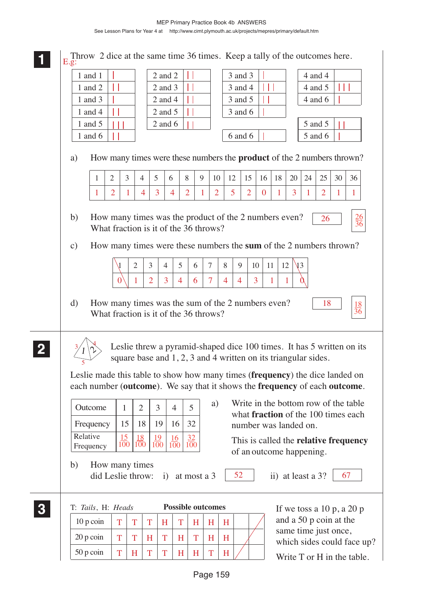

1 and 1 2 and 2 3 and 3 4 and 4 Throw 2 dice at the same time 36 times. Keep a tally of the outcomes here. E.g: Н

| 1 and 2                                                                                                                                                    |                                     |                  |                |                  | $2$ and $3$      |                |                  |                                       |    | 3 and 4                                                                                                                     |                |                   |                  |    | 4 and 5                |    |                                                                                          |
|------------------------------------------------------------------------------------------------------------------------------------------------------------|-------------------------------------|------------------|----------------|------------------|------------------|----------------|------------------|---------------------------------------|----|-----------------------------------------------------------------------------------------------------------------------------|----------------|-------------------|------------------|----|------------------------|----|------------------------------------------------------------------------------------------|
| 1 and 3                                                                                                                                                    |                                     |                  |                |                  | $2$ and $4$      |                |                  |                                       |    | 3 and 5                                                                                                                     |                |                   |                  |    | 4 and 6                |    |                                                                                          |
| 1 and 4                                                                                                                                                    |                                     |                  |                |                  | $2$ and $5$      |                |                  |                                       |    | 3 and 6                                                                                                                     |                |                   |                  |    |                        |    |                                                                                          |
| 1 and $5$                                                                                                                                                  |                                     |                  |                |                  | 2 and $6$        |                |                  |                                       |    |                                                                                                                             |                |                   |                  |    | 5 and 5                |    |                                                                                          |
| 1 and $6$                                                                                                                                                  |                                     |                  |                |                  |                  |                |                  |                                       |    | 6 and 6                                                                                                                     |                |                   |                  |    | 5 and 6                |    |                                                                                          |
| a)                                                                                                                                                         |                                     |                  |                |                  |                  |                |                  |                                       |    |                                                                                                                             |                |                   |                  |    |                        |    | How many times were these numbers the <b>product</b> of the 2 numbers thrown?            |
| 1                                                                                                                                                          | $\overline{2}$                      | 3                | $\overline{4}$ | 5                | 6                | 8              | 9                | 10                                    | 12 | 15                                                                                                                          | 16             | 18                | 20               | 24 | 25                     | 30 | 36                                                                                       |
| 1                                                                                                                                                          | $\overline{2}$                      | L                | 4              | 3                | 4                | $\overline{2}$ |                  | $\overline{2}$                        | 5  | $\overline{2}$                                                                                                              | $\overline{0}$ | 1                 | 3                |    | $\overline{2}$         | T  | $\mathbf 1$                                                                              |
| b)<br>$\mathbf{c})$                                                                                                                                        |                                     |                  |                |                  |                  |                |                  | What fraction is it of the 36 throws? |    | How many times was the product of the 2 numbers even?<br>How many times were these numbers the sum of the 2 numbers thrown? |                |                   |                  |    | 26                     |    | $\frac{26}{36}$                                                                          |
|                                                                                                                                                            |                                     |                  | $\overline{2}$ | 3                | $\overline{4}$   | 5              | 6                | 7                                     | 8  | 9                                                                                                                           | 10             | 11                | 12<br>$\sqrt{3}$ |    |                        |    |                                                                                          |
|                                                                                                                                                            |                                     |                  | 1              | $\overline{2}$   | $\overline{3}$   | $\overline{4}$ | 6                | $\overline{7}$                        | 4  | $\overline{4}$                                                                                                              | 3              |                   | 1                |    |                        |    |                                                                                          |
|                                                                                                                                                            |                                     |                  |                |                  |                  |                |                  |                                       |    |                                                                                                                             |                |                   |                  |    |                        |    |                                                                                          |
|                                                                                                                                                            |                                     |                  |                |                  |                  |                |                  |                                       |    |                                                                                                                             |                |                   |                  |    |                        |    |                                                                                          |
|                                                                                                                                                            |                                     |                  |                |                  |                  |                |                  | What fraction is it of the 36 throws? |    | square base and 1, 2, 3 and 4 written on its triangular sides.                                                              |                |                   |                  |    |                        |    | $\frac{18}{36}$<br>Leslie threw a pyramid-shaped dice 100 times. It has 5 written on its |
| Leslie made this table to show how many times (frequency) the dice landed on<br>each number (outcome). We say that it shows the frequency of each outcome. |                                     |                  |                |                  |                  |                |                  |                                       |    |                                                                                                                             |                |                   |                  |    |                        |    |                                                                                          |
| Outcome                                                                                                                                                    |                                     | $\mathbf{1}$     | $\overline{2}$ | 3                | $\overline{4}$   |                | 5                |                                       |    |                                                                                                                             |                |                   |                  |    |                        |    | a) Write in the bottom row of the table                                                  |
| Frequency                                                                                                                                                  |                                     | 15               | 18             | 19               | 16               |                | 32               |                                       |    |                                                                                                                             |                |                   |                  |    |                        |    | what <b>fraction</b> of the 100 times each                                               |
| Relative<br>Frequency                                                                                                                                      |                                     | $\frac{15}{100}$ | 18<br>100      | <u>19</u><br>100 | $\frac{16}{100}$ |                | $\frac{32}{100}$ |                                       |    | number was landed on.<br>of an outcome happening.                                                                           |                |                   |                  |    |                        |    | This is called the relative frequency                                                    |
| b)                                                                                                                                                         | How many times<br>did Leslie throw: |                  |                |                  | $\ddot{1}$       |                | at most a 3      |                                       |    | 52                                                                                                                          |                | ii) at least a 3? |                  |    |                        |    | 67                                                                                       |
| T: Tails, H: Heads                                                                                                                                         |                                     |                  |                |                  |                  |                |                  | <b>Possible outcomes</b>              |    |                                                                                                                             |                |                   |                  |    |                        |    | If we toss a $10 p$ , a $20 p$                                                           |
| 10 p coin                                                                                                                                                  |                                     | T                | T              | T                | H                | T              | H                | H                                     | H  |                                                                                                                             |                |                   |                  |    | and a 50 p coin at the |    |                                                                                          |
| 20 p coin                                                                                                                                                  |                                     | T                | T              | H                | T                | H              | T                | H                                     | H  |                                                                                                                             |                |                   |                  |    | same time just once,   |    | which sides could face up?                                                               |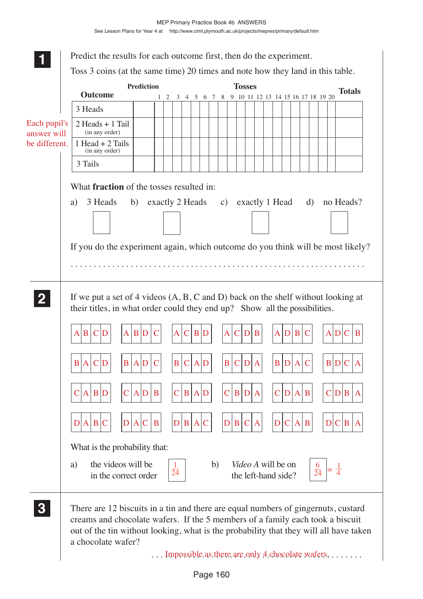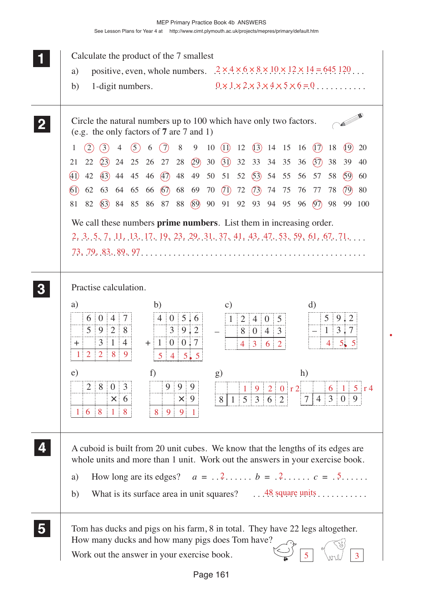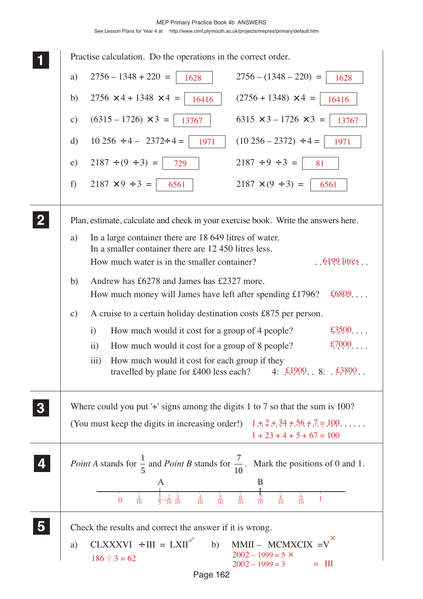### MEP Primary Practice Book 4b ANSWERS See Lesson Plans for Year 4 at http://www.cimt.plymouth.ac.uk/projects/mepres/primary/default.htm

| Practise calculation. Do the operations in the correct order.                                                                                            |
|----------------------------------------------------------------------------------------------------------------------------------------------------------|
| $2756 - 1348 + 220 =$<br>$2756 - (1348 - 220) =$<br>a)<br>1628<br>1628                                                                                   |
| $(2756 + 1348) \times 4 =$<br>$2756 \times 4 + 1348 \times 4 =$<br>b)<br>16416<br>16416                                                                  |
| $(6315 - 1726) \times 3 =$<br>$6315 \times 3 - 1726 \times 3 =$<br>$\mathbf{c})$<br>13767<br>13767                                                       |
| $10\,256 \div 4 - 2372 \div 4 =$<br>$(10\ 256 - 2372) \div 4 =$<br>$\rm d)$<br>1971<br>1971                                                              |
| $2187 \div (9 \div 3) =$<br>$2187 \div 9 \div 3 =$<br>e)<br>729<br>81                                                                                    |
| $2187 \times 9 \div 3 =$<br>$2187 \times (9 \div 3) =$<br>f)<br>6561<br>6561                                                                             |
| Plan, estimate, calculate and check in your exercise book. Write the answers here.                                                                       |
| In a large container there are 18 649 litres of water.<br>a)<br>In a smaller container there are 12 450 litres less.                                     |
| How much water is in the smaller container?<br>$.6199$ litres $.6199$                                                                                    |
| Andrew has £6278 and James has £2327 more.<br>b)                                                                                                         |
| £6809<br>How much money will James have left after spending $£1796?$                                                                                     |
| A cruise to a certain holiday destination costs £875 per person.<br>$\mathbf{c})$                                                                        |
| £3500<br>How much would it cost for a group of 4 people?<br>i)                                                                                           |
| £7000<br>How much would it cost for a group of 8 people?<br>$\rm ii)$                                                                                    |
| iii) How much would it cost for each group if they<br>travelled by plane for £400 less each? 4: $\text{\textsterling}19008$ : $\text{\textsterling}3800$ |
| Where could you put '+' signs among the digits 1 to 7 so that the sum is 100?                                                                            |
| (You must keep the digits in increasing order!) $1 + 2 + 34 + 56 + 7 = 100$<br>$1 + 23 + 4 + 5 + 67 = 100$                                               |
| <i>Point A</i> stands for $\frac{1}{5}$ and <i>Point B</i> stands for $\frac{7}{10}$ . Mark the positions of 0 and 1.                                    |
| B<br>A<br>$rac{4}{10}$ $rac{5}{10}$<br>$rac{6}{10}$<br>$\frac{1}{5} = \frac{2}{10} = \frac{3}{10}$<br>$\frac{8}{10}$<br>$\frac{9}{10}$                   |
| Check the results and correct the answer if it is wrong.                                                                                                 |
| $CLXXXVI$ ÷ III = $LXII'$<br>$MMII - MCMXCIX =V'$<br>b)<br>a)                                                                                            |
| $2002 - 1999 = 5 \times$<br>$186 \div 3 = 62$<br>$\mathbf{III}$<br>$2002 - 1999 = 3$                                                                     |
| Page 162                                                                                                                                                 |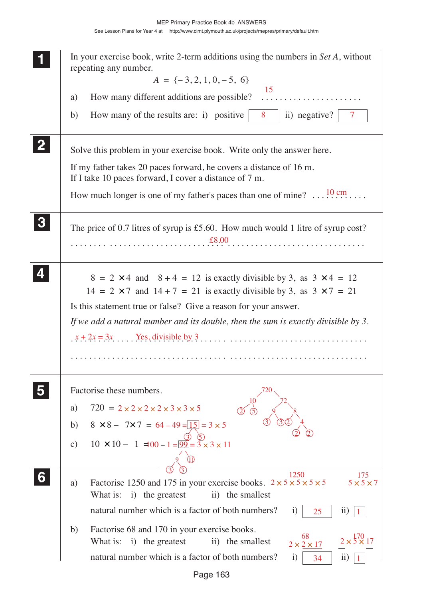| In your exercise book, write 2-term additions using the numbers in Set A, without<br>repeating any number.<br>$A = \{-3, 2, 1, 0, -5, 6\}$<br>15<br>a)<br>How many of the results are: i) positive $\begin{vmatrix} 8 \\ 11 \end{vmatrix}$ negative? $\begin{vmatrix} 7 \\ 7 \end{vmatrix}$<br>b)                                 |
|-----------------------------------------------------------------------------------------------------------------------------------------------------------------------------------------------------------------------------------------------------------------------------------------------------------------------------------|
| Solve this problem in your exercise book. Write only the answer here.<br>If my father takes 20 paces forward, he covers a distance of 16 m.<br>If I take 10 paces forward, I cover a distance of 7 m.<br>How much longer is one of my father's paces than one of mine? $\dots$ <sup>10</sup> cm                                   |
| The price of 0.7 litres of syrup is £5.60. How much would 1 litre of syrup cost?                                                                                                                                                                                                                                                  |
| $8 = 2 \times 4$ and $8 + 4 = 12$ is exactly divisible by 3, as $3 \times 4 = 12$<br>$14 = 2 \times 7$ and $14 + 7 = 21$ is exactly divisible by 3, as $3 \times 7 = 21$<br>Is this statement true or false? Give a reason for your answer.<br>If we add a natural number and its double, then the sum is exactly divisible by 3. |
| Factorise these numbers.<br>$720 = 2 \times 2 \times 2 \times 2 \times 3 \times 3 \times 5$<br>a)<br>$8 \times 8 - 7 \times 7 = 64 - 49 = 15 = 3 \times 5$<br>b)<br>$10 \times 10 - 1 = 00 - 1 = 99 = 3 \times 3 \times 11$<br>c)                                                                                                 |
| 1250<br>175<br>Factorise 1250 and 175 in your exercise books. $2 \times 5 \times 5 \times 5 \times 5$<br>$5 \times 5 \times 7$<br>a)<br>What is:<br>ii) the smallest<br>i) the greatest<br>natural number which is a factor of both numbers?<br>i)<br>$\rm ii)$<br>25                                                             |
| Factorise 68 and 170 in your exercise books.<br>b)<br>68<br>$2 \times \frac{170}{2} \times 17$<br>What is:<br>i) the greatest<br>ii) the smallest<br>$2 \times 2 \times 17$<br>natural number which is a factor of both numbers?<br>$\rm ii)$<br>$\mathbf{i}$<br>34                                                               |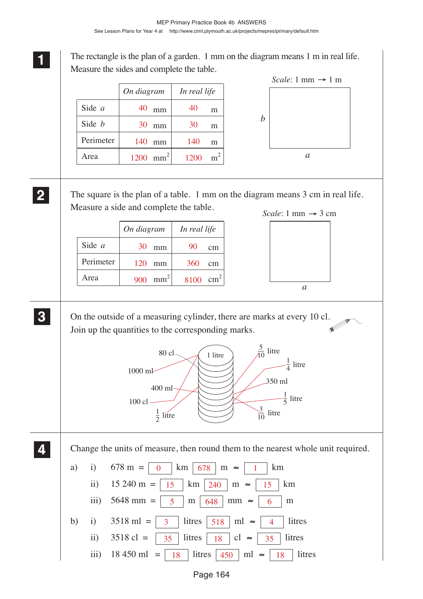**1 11** The rectangle is the plan of a garden. 1 mm on the diagram means 1 m in real life. Measure the sides and complete the table. The square is the plan of a table. 1 mm on the diagram means 3 cm in real life. Measure a side and complete the table. On the outside of a measuring cylinder, there are marks at every 10 cl. Join up the quantities to the corresponding marks. Change the units of measure, then round them to the nearest whole unit required. a) i)  $678 \text{ m} = | 0 | \text{ km} | 678 | \text{ m} \approx | 1 | \text{ km}$ ii)  $15\ 240\ \text{m} = | 15 \ | \ \text{km} | 240 \ | \ \text{m} \approx | 15 \ | \ \text{km}$ iii) 5648 mm =  $\frac{1}{5}$  m  $\frac{648}{100}$  mm ≈  $\frac{1}{6}$  m b) i)  $3518 \text{ ml} = | 3 | \text{litres} | 518 | \text{ ml} \approx | 4 | \text{litres}$ ii) 3518 cl =  $\begin{array}{|c|c|c|c|c|c|} \hline 35 & \hline 35 & \hline \end{array}$  litres  $\begin{array}{|c|c|c|c|c|c|} \hline 35 & \hline 16 & \hline 35 & \hline \end{array}$  litres iii) 18 450 ml = | 18 | litres | 450 | ml ≈ | 18 | litres *a b* Side *a* Side *b* Perimeter Area 1200 mm<sup>2</sup> 1200 140 mm 140 mm 30 30 mm 40 40 *On diagram In real life* m m m  $m<sup>2</sup>$ **2 22 22** *a* Side *a* Perimeter Area  $900 \text{ mm}^2$  8100 120 mm 360 30 mm | 90 *On diagram In real life* cm cm cm 2 **3 33 33 4 44 44** 80 cl 1000 ml 400 ml  $100$  cl - $\frac{1}{2}$  litre  $\frac{1}{5}$  litre 350 ml  $\frac{1}{4}$  litre 5 4 1 litre  $\frac{3}{10}$  litre  $\frac{5}{10}$  litre *Scale*: 1 mm  $\rightarrow$  3 cm *Scale*: 1 mm  $\rightarrow$  1 m  $m \approx$  $km$  | 240  $mm \approx$ litres  $\vert$  518 litres litres  $|450$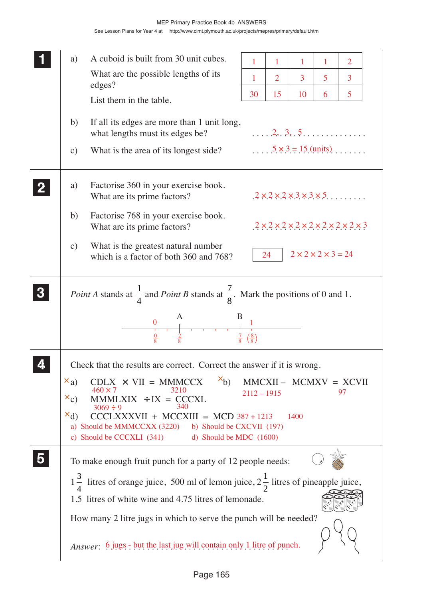|                  | a)                            | A cuboid is built from 30 unit cubes.                                                                                                                                                                                                                                                                                                                                        | 1                          | 1              | 1                                   | 1 | $\overline{2}$                                                              |
|------------------|-------------------------------|------------------------------------------------------------------------------------------------------------------------------------------------------------------------------------------------------------------------------------------------------------------------------------------------------------------------------------------------------------------------------|----------------------------|----------------|-------------------------------------|---|-----------------------------------------------------------------------------|
|                  |                               | What are the possible lengths of its                                                                                                                                                                                                                                                                                                                                         | 1                          | $\overline{2}$ | $\overline{3}$                      | 5 | $\overline{3}$                                                              |
|                  |                               | edges?<br>List them in the table.                                                                                                                                                                                                                                                                                                                                            | 30                         | 15             | 10                                  | 6 | 5                                                                           |
|                  | b)                            | If all its edges are more than 1 unit long,<br>what lengths must its edges be?                                                                                                                                                                                                                                                                                               |                            |                |                                     |   | $\ldots$ $2, 3, 5, \ldots$                                                  |
|                  | $\mathbf{c})$                 | What is the area of its longest side?                                                                                                                                                                                                                                                                                                                                        |                            |                |                                     |   | $5 \times 3 = 15$ (units)                                                   |
|                  | a)                            | Factorise 360 in your exercise book.<br>What are its prime factors?                                                                                                                                                                                                                                                                                                          |                            |                |                                     |   | $2 \times 2 \times 2 \times 3 \times 3 \times 5$                            |
|                  | b)                            | Factorise 768 in your exercise book.<br>What are its prime factors?                                                                                                                                                                                                                                                                                                          |                            |                |                                     |   | $2 \times 2 \times 2 \times 2 \times 2 \times 2 \times 2 \times 2 \times 3$ |
|                  | $\mathbf{c})$                 | What is the greatest natural number<br>which is a factor of both 360 and 768?                                                                                                                                                                                                                                                                                                |                            | 24             | $2 \times 2 \times 2 \times 3 = 24$ |   |                                                                             |
| $\boldsymbol{3}$ |                               | <i>Point A</i> stands at $\frac{1}{4}$ and <i>Point B</i> stands at $\frac{7}{8}$ . Mark the positions of 0 and 1.<br>B.<br>$\boldsymbol{0}$                                                                                                                                                                                                                                 |                            |                |                                     |   |                                                                             |
|                  |                               | $\frac{0}{8}$                                                                                                                                                                                                                                                                                                                                                                | $\left(\frac{8}{8}\right)$ |                |                                     |   |                                                                             |
|                  | $x_{a}$<br>$x_{c}$<br>$x_{d}$ | Check that the results are correct. Correct the answer if it is wrong.<br>$x_{b}$<br>$CDLX \times VII = MMMCCX$<br>$460 \times 7$<br>3210<br>$MMMUXIX$ ÷ $IX = CCXL$<br>340<br>$3069 \div 9$<br>$CCCLXXXVII + MCCXIII = MCD 387 + 1213$<br>a) Should be MMMCCXX (3220) b) Should be CXCVII (197)<br>c) Should be CCCXLI (341) d) Should be MDC (1600)                        | $2112 - 1915$              |                | 1400                                |   | $MMCXII - MCMXV = XCVII$<br>97                                              |
|                  |                               | To make enough fruit punch for a party of 12 people needs:<br>$1\frac{3}{4}$ litres of orange juice, 500 ml of lemon juice, $2\frac{1}{2}$ litres of pineapple juice,<br>1.5 litres of white wine and 4.75 litres of lemonade.<br>How many 2 litre jugs in which to serve the punch will be needed?<br>Answer: 6 jugs - but the last jug will contain only 1 litre of punch. |                            |                |                                     |   |                                                                             |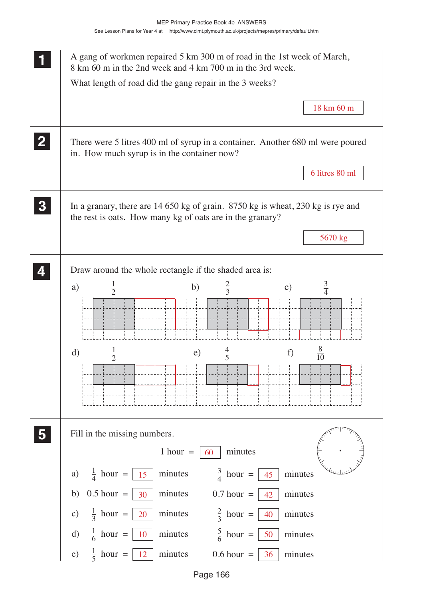| A gang of workmen repaired 5 km 300 m of road in the 1st week of March,<br>8 km 60 m in the 2nd week and 4 km 700 m in the 3rd week.<br>What length of road did the gang repair in the 3 weeks? |
|-------------------------------------------------------------------------------------------------------------------------------------------------------------------------------------------------|
| 18 km 60 m                                                                                                                                                                                      |
| There were 5 litres 400 ml of syrup in a container. Another 680 ml were poured<br>in. How much syrup is in the container now?                                                                   |
| 6 litres 80 ml                                                                                                                                                                                  |
| In a granary, there are 14 650 kg of grain. 8750 kg is wheat, 230 kg is rye and<br>the rest is oats. How many kg of oats are in the granary?                                                    |
| 5670 kg                                                                                                                                                                                         |
| Draw around the whole rectangle if the shaded area is:                                                                                                                                          |
| $rac{3}{4}$<br>$\frac{1}{2}$<br>$rac{2}{3}$<br>b)<br>a)<br>$\mathbf{c})$                                                                                                                        |
|                                                                                                                                                                                                 |
| $\frac{8}{10}$<br>$\frac{1}{2}$<br>$rac{4}{5}$<br>$\rm d)$<br>f)<br>e)                                                                                                                          |
|                                                                                                                                                                                                 |
| Fill in the missing numbers.<br>$1 hour =$<br>minutes<br>60                                                                                                                                     |
| $\frac{3}{4}$ hour =<br>$\frac{1}{4}$ hour =<br>minutes<br>minutes<br>a)<br>45<br>15                                                                                                            |
| $0.5$ hour $=$<br>minutes<br>b)<br>30<br>$0.7$ hour $=$<br>minutes<br>42                                                                                                                        |
| $\frac{1}{3}$ hour =<br>$rac{2}{3}$ hour =<br>minutes<br>c)<br>20<br>40<br>minutes                                                                                                              |
| $\frac{1}{6}$ hour =<br>$\frac{5}{6}$ hour =<br>$\mathbf{d}$<br>10<br>minutes<br>50<br>minutes                                                                                                  |
| $\frac{1}{5}$ hour =<br>12<br>minutes<br>$0.6$ hour =<br>e)<br>minutes<br>36                                                                                                                    |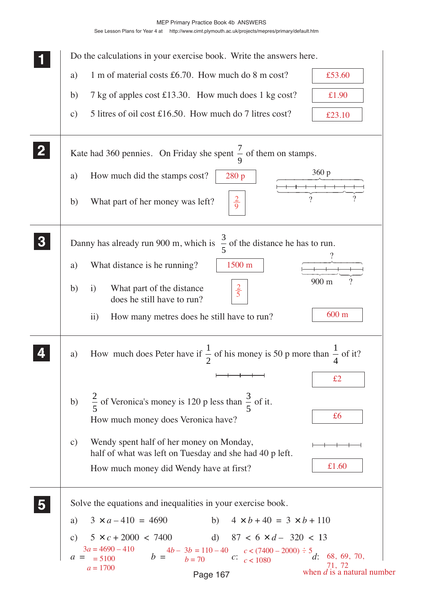See Lesson Plans for Year 4 at http://www.cimt.plymouth.ac.uk/projects/mepres/primary/default.htm

|              | Do the calculations in your exercise book. Write the answers here.                                                                                                                                                                             |
|--------------|------------------------------------------------------------------------------------------------------------------------------------------------------------------------------------------------------------------------------------------------|
|              | 1 m of material costs £6.70. How much do 8 m cost?<br>£53.60<br>a)                                                                                                                                                                             |
|              | 7 kg of apples cost £13.30. How much does 1 kg cost?<br>b)<br>£1.90                                                                                                                                                                            |
|              | 5 litres of oil cost £16.50. How much do 7 litres cost?<br>$\mathbf{c})$<br>£23.10                                                                                                                                                             |
| $\mathbf{2}$ | Kate had 360 pennies. On Friday she spent $\frac{7}{9}$ of them on stamps.                                                                                                                                                                     |
|              | 360 p<br>How much did the stamps cost?<br>a)<br>280 p                                                                                                                                                                                          |
|              | 9<br>$\gamma$<br>$rac{2}{9}$<br>What part of her money was left?<br>b)                                                                                                                                                                         |
|              | Danny has already run 900 m, which is $\frac{3}{5}$ of the distance he has to run.                                                                                                                                                             |
|              | What distance is he running?<br>1500 m<br>a)                                                                                                                                                                                                   |
|              | 900 m<br>$\overline{\mathcal{L}}$<br>$rac{2}{5}$<br>What part of the distance<br>b)<br>$\rm i)$<br>does he still have to run?                                                                                                                  |
|              | 600 m<br>How many metres does he still have to run?<br>$\mathbf{ii}$                                                                                                                                                                           |
|              | How much does Peter have if $\frac{1}{2}$ of his money is 50 p more than $\frac{1}{4}$ of it?<br>a)                                                                                                                                            |
|              | £2                                                                                                                                                                                                                                             |
|              | $\frac{2}{5}$ of Veronica's money is 120 p less than $\frac{3}{5}$ of it.<br>b)                                                                                                                                                                |
|              | £6<br>How much money does Veronica have?                                                                                                                                                                                                       |
|              | Wendy spent half of her money on Monday,<br>c)<br>half of what was left on Tuesday and she had 40 p left.                                                                                                                                      |
|              | £1.60<br>How much money did Wendy have at first?                                                                                                                                                                                               |
|              | Solve the equations and inequalities in your exercise book.                                                                                                                                                                                    |
|              | b) $4 \times b + 40 = 3 \times b + 110$<br>$3 \times a - 410 = 4690$<br>a)                                                                                                                                                                     |
|              | $5 \times c + 2000 \times 7400$ d) $87 \times 6 \times d - 320 \times 13$<br>$\mathcal{C}$ )                                                                                                                                                   |
|              | $a = \frac{3a}{b} = \frac{4690 - 410}{b}$ $b = \frac{4b - 3b}{b} = \frac{110 - 40}{b}$ $c = \frac{c}{1080}$ $c = \frac{7400 - 2000}{c}$ $\frac{3a}{c} = \frac{68}{c}$ , 69, 70,<br>$71, 72$<br>when <i>d</i> is a natural number<br>$a = 1700$ |
|              | Page 167                                                                                                                                                                                                                                       |

Page 167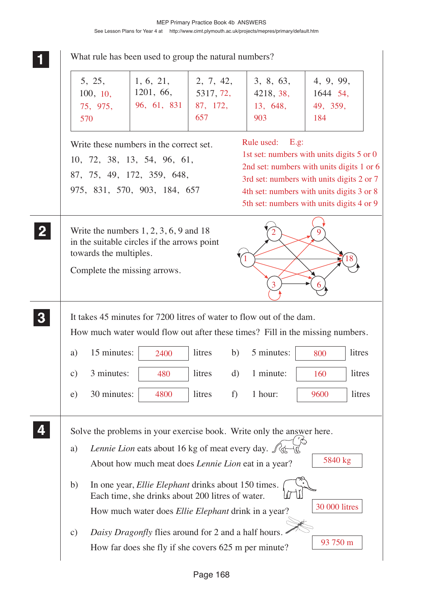|          | What rule has been used to group the natural numbers?                                                                                                 |                                                                                                                                      |                                                                                                                                                                                                                                                     |                                                                       |                                          |  |  |  |
|----------|-------------------------------------------------------------------------------------------------------------------------------------------------------|--------------------------------------------------------------------------------------------------------------------------------------|-----------------------------------------------------------------------------------------------------------------------------------------------------------------------------------------------------------------------------------------------------|-----------------------------------------------------------------------|------------------------------------------|--|--|--|
|          | 5, 25,<br>$1, 6, 21, \quad   2, 7, 42,$<br>1201, 66,<br>100, 10,<br>96, 61, 831<br>75, 975,<br>570                                                    |                                                                                                                                      | 5317, 72,<br>87, 172,<br>657                                                                                                                                                                                                                        | 3, 8, 63,<br>4218, 38,<br>13, 648,<br>903                             | 4, 9, 99,<br>1644 54,<br>49, 359,<br>184 |  |  |  |
|          |                                                                                                                                                       | Write these numbers in the correct set.<br>10, 72, 38, 13, 54, 96, 61,<br>87, 75, 49, 172, 359, 648,<br>975, 831, 570, 903, 184, 657 | E.g.<br>Rule used:<br>1st set: numbers with units digits 5 or 0<br>2nd set: numbers with units digits 1 or 6<br>3rd set: numbers with units digits 2 or 7<br>4th set: numbers with units digits 3 or 8<br>5th set: numbers with units digits 4 or 9 |                                                                       |                                          |  |  |  |
|          | towards the multiples.                                                                                                                                | Write the numbers $1, 2, 3, 6, 9$ and 18<br>in the suitable circles if the arrows point<br>Complete the missing arrows.              |                                                                                                                                                                                                                                                     | 3                                                                     | 9<br>18                                  |  |  |  |
| $\bf{3}$ | It takes 45 minutes for 7200 litres of water to flow out of the dam.<br>How much water would flow out after these times? Fill in the missing numbers. |                                                                                                                                      |                                                                                                                                                                                                                                                     |                                                                       |                                          |  |  |  |
|          | 15 minutes:<br>a)                                                                                                                                     | 2400                                                                                                                                 | litres                                                                                                                                                                                                                                              | 5 minutes:<br>b)                                                      | litres<br>800                            |  |  |  |
|          | 3 minutes:<br>$\mathbf{c})$                                                                                                                           | 480                                                                                                                                  | litres                                                                                                                                                                                                                                              | 1 minute:<br>$\rm d)$                                                 | litres<br>160                            |  |  |  |
|          | 30 minutes:<br>e)                                                                                                                                     | 4800                                                                                                                                 | litres                                                                                                                                                                                                                                              | 1 hour:<br>f)                                                         | litres<br>9600                           |  |  |  |
|          |                                                                                                                                                       |                                                                                                                                      |                                                                                                                                                                                                                                                     | Solve the problems in your exercise book. Write only the answer here. |                                          |  |  |  |
|          | a)                                                                                                                                                    | Lennie Lion eats about 16 kg of meat every day. $\int \phi$                                                                          |                                                                                                                                                                                                                                                     |                                                                       |                                          |  |  |  |
|          |                                                                                                                                                       | About how much meat does <i>Lennie Lion</i> eat in a year?                                                                           |                                                                                                                                                                                                                                                     |                                                                       | 5840 kg                                  |  |  |  |
|          | b)                                                                                                                                                    | In one year, <i>Ellie Elephant</i> drinks about 150 times.<br>Each time, she drinks about 200 litres of water.                       |                                                                                                                                                                                                                                                     |                                                                       |                                          |  |  |  |
|          |                                                                                                                                                       | How much water does <i>Ellie Elephant</i> drink in a year?                                                                           |                                                                                                                                                                                                                                                     |                                                                       | 30 000 litres                            |  |  |  |
|          | c)                                                                                                                                                    | Daisy Dragonfly flies around for 2 and a half hours.                                                                                 |                                                                                                                                                                                                                                                     |                                                                       | 93 750 m                                 |  |  |  |
|          |                                                                                                                                                       | How far does she fly if she covers 625 m per minute?                                                                                 |                                                                                                                                                                                                                                                     |                                                                       |                                          |  |  |  |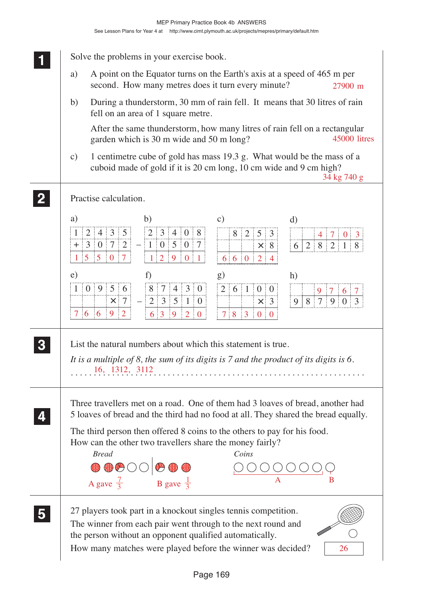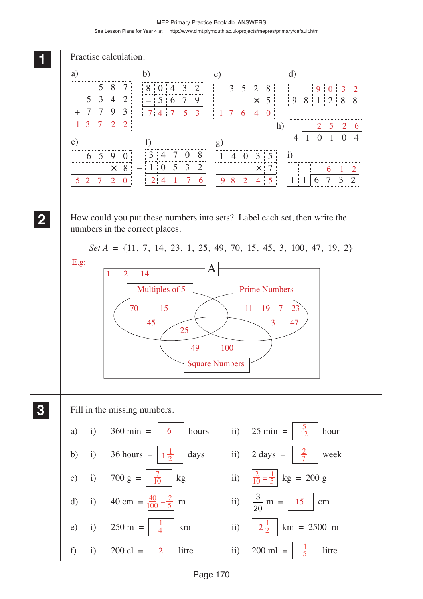#### MEP Primary Practice Book 4b ANSWERS See Lesson Plans for Year 4 at http://www.cimt.plymouth.ac.uk/projects/mepres/primary/default.htm

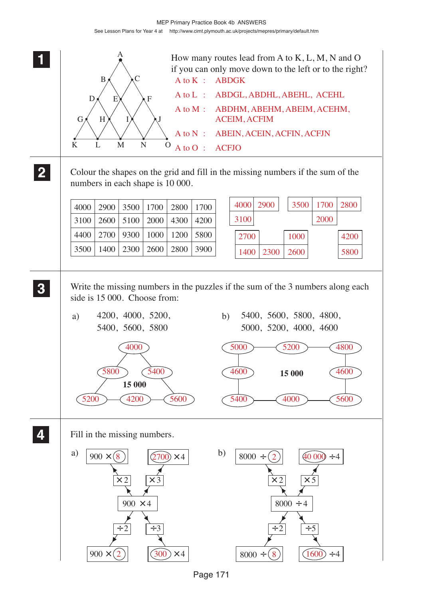

Page 171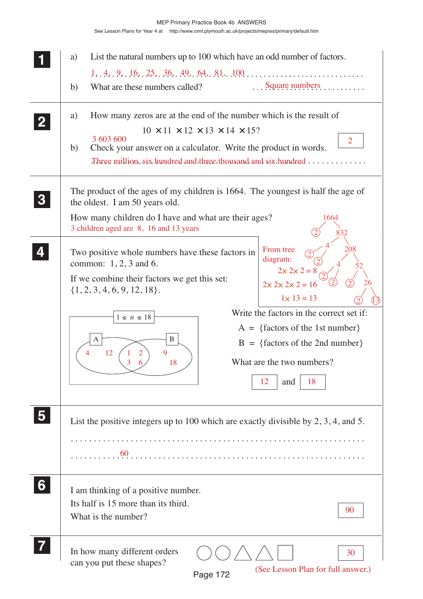|                | List the natural numbers up to 100 which have an odd number of factors.<br>a)<br>$1, 4, 9, 16, 25, 36, 49, 64, 81, 100, \ldots, \ldots, \ldots, \ldots, \ldots$<br>Square numbers<br>What are these numbers called?<br>b)                                                                                                                                                                                                                                                                                           |
|----------------|---------------------------------------------------------------------------------------------------------------------------------------------------------------------------------------------------------------------------------------------------------------------------------------------------------------------------------------------------------------------------------------------------------------------------------------------------------------------------------------------------------------------|
| $\overline{2}$ | How many zeros are at the end of the number which is the result of<br>a)<br>$10 \times 11 \times 12 \times 13 \times 14 \times 15$ ?<br>3 603 600<br>$\overline{2}$<br>Check your answer on a calculator. Write the product in words.<br>b)<br>Three million, six hundred and three thousand and six hundred                                                                                                                                                                                                        |
|                | The product of the ages of my children is 1664. The youngest is half the age of<br>the oldest. I am 50 years old.<br>How many children do I have and what are their ages?<br>1664<br>3 children aged are 8, 16 and 13 years<br>832                                                                                                                                                                                                                                                                                  |
|                | 208<br>From tree<br>Two positive whole numbers have these factors in<br>diagram:<br>common: $1, 2, 3$ and 6.<br>$2 \times 2 \times 2 =$<br>If we combine their factors we get this set:<br>26<br>$2 \times 2 \times 2 \times 2 = 16$<br>$\{1, 2, 3, 4, 6, 9, 12, 18\}.$<br>$1 \times 13 = 13$<br>Write the factors in the correct set if:<br>$1 \leq n \leq 18$<br>$A = \{factors of the 1st number\}$<br>B<br>A<br>$B = \{factors of the 2nd number\}$<br>12<br>What are the two numbers?<br>18<br>18<br>12<br>and |
| 5              | List the positive integers up to 100 which are exactly divisible by $2, 3, 4$ , and 5.                                                                                                                                                                                                                                                                                                                                                                                                                              |
| 6              | I am thinking of a positive number.<br>Its half is 15 more than its third.<br>90<br>What is the number?                                                                                                                                                                                                                                                                                                                                                                                                             |
|                | In how many different orders<br>30<br>can you put these shapes?<br>(See Lesson Plan for full answer.)<br>Page 172                                                                                                                                                                                                                                                                                                                                                                                                   |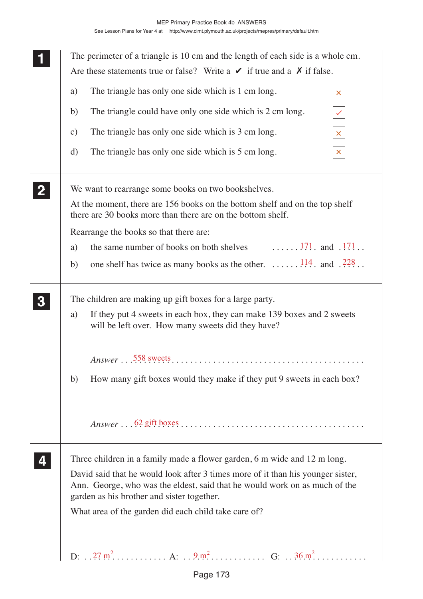|                | The perimeter of a triangle is 10 cm and the length of each side is a whole cm.<br>Are these statements true or false? Write a $\vee$ if true and a $\chi$ if false.                                        |  |  |  |  |  |  |  |  |  |
|----------------|-------------------------------------------------------------------------------------------------------------------------------------------------------------------------------------------------------------|--|--|--|--|--|--|--|--|--|
|                | The triangle has only one side which is 1 cm long.<br>a)<br>$\mathsf{X}^{\scriptscriptstyle{+}}$                                                                                                            |  |  |  |  |  |  |  |  |  |
|                | The triangle could have only one side which is 2 cm long.<br>b)<br>$\checkmark$                                                                                                                             |  |  |  |  |  |  |  |  |  |
|                | The triangle has only one side which is 3 cm long.<br>$\mathbf{c})$<br>$\mathsf{X}^{\scriptscriptstyle \top}$                                                                                               |  |  |  |  |  |  |  |  |  |
|                | The triangle has only one side which is 5 cm long.<br>$\mathbf{d}$<br>$\mathsf{X}_{\scriptscriptstyle{0}}$                                                                                                  |  |  |  |  |  |  |  |  |  |
| $\overline{2}$ | We want to rearrange some books on two bookshelves.                                                                                                                                                         |  |  |  |  |  |  |  |  |  |
|                | At the moment, there are 156 books on the bottom shelf and on the top shelf<br>there are 30 books more than there are on the bottom shelf.                                                                  |  |  |  |  |  |  |  |  |  |
|                | Rearrange the books so that there are:                                                                                                                                                                      |  |  |  |  |  |  |  |  |  |
|                | the same number of books on both shelves $\ldots \ldots$ 171. and 171.<br>a)                                                                                                                                |  |  |  |  |  |  |  |  |  |
|                | one shelf has twice as many books as the other. $\dots \dots \dots \dots \dots \dots \dots \dots \dots \dots \dots \dots \dots \dots \dots \dots$<br>b)                                                     |  |  |  |  |  |  |  |  |  |
| 3              | The children are making up gift boxes for a large party.                                                                                                                                                    |  |  |  |  |  |  |  |  |  |
|                | If they put 4 sweets in each box, they can make 139 boxes and 2 sweets<br>a)<br>will be left over. How many sweets did they have?                                                                           |  |  |  |  |  |  |  |  |  |
|                |                                                                                                                                                                                                             |  |  |  |  |  |  |  |  |  |
|                | How many gift boxes would they make if they put 9 sweets in each box?<br>b)                                                                                                                                 |  |  |  |  |  |  |  |  |  |
|                |                                                                                                                                                                                                             |  |  |  |  |  |  |  |  |  |
|                | Three children in a family made a flower garden, 6 m wide and 12 m long.                                                                                                                                    |  |  |  |  |  |  |  |  |  |
|                | David said that he would look after 3 times more of it than his younger sister,<br>Ann. George, who was the eldest, said that he would work on as much of the<br>garden as his brother and sister together. |  |  |  |  |  |  |  |  |  |
|                | What area of the garden did each child take care of?                                                                                                                                                        |  |  |  |  |  |  |  |  |  |
|                |                                                                                                                                                                                                             |  |  |  |  |  |  |  |  |  |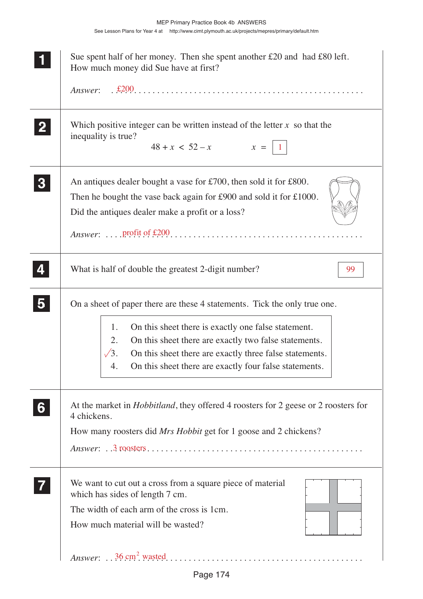|                         | Sue spent half of her money. Then she spent another $£20$ and had $£80$ left.<br>How much money did Sue have at first?                                                                                                                                                                                                                           |
|-------------------------|--------------------------------------------------------------------------------------------------------------------------------------------------------------------------------------------------------------------------------------------------------------------------------------------------------------------------------------------------|
| $\mathbf{2}$            | Which positive integer can be written instead of the letter $x$ so that the<br>inequality is true?<br>$48 + x < 52 - x$ $x =  1$                                                                                                                                                                                                                 |
| $\bf{3}$                | An antiques dealer bought a vase for $£700$ , then sold it for £800.<br>Then he bought the vase back again for £900 and sold it for £1000.<br>Did the antiques dealer make a profit or a loss?                                                                                                                                                   |
|                         | What is half of double the greatest 2-digit number?<br>99                                                                                                                                                                                                                                                                                        |
| $\overline{\mathbf{5}}$ | On a sheet of paper there are these 4 statements. Tick the only true one.<br>1.<br>On this sheet there is exactly one false statement.<br>On this sheet there are exactly two false statements.<br>2.<br>$\sqrt{3}$ .<br>On this sheet there are exactly three false statements.<br>On this sheet there are exactly four false statements.<br>4. |
| 6                       | At the market in <i>Hobbitland</i> , they offered 4 roosters for 2 geese or 2 roosters for<br>4 chickens.<br>How many roosters did <i>Mrs Hobbit</i> get for 1 goose and 2 chickens?                                                                                                                                                             |
|                         | We want to cut out a cross from a square piece of material<br>which has sides of length 7 cm.<br>The width of each arm of the cross is 1cm.<br>How much material will be wasted?                                                                                                                                                                 |